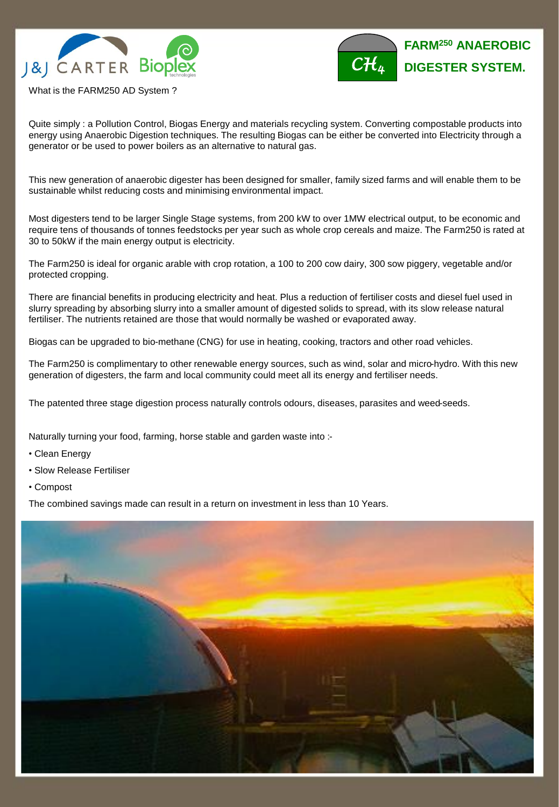



What is the FARM250 AD System ?

Quite simply : a Pollution Control, Biogas Energy and materials recycling system. Converting compostable products into energy using Anaerobic Digestion techniques. The resulting Biogas can be either be converted into Electricity through a generator or be used to power boilers as an alternative to natural gas.

This new generation of anaerobic digester has been designed for smaller, family sized farms and will enable them to be sustainable whilst reducing costs and minimising environmental impact.

Most digesters tend to be larger Single Stage systems, from 200 kW to over 1MW electrical output, to be economic and require tens of thousands of tonnes feedstocks per year such as whole crop cereals and maize. The Farm250 is rated at 30 to 50kW if the main energy output is electricity.

The Farm250 is ideal for organic arable with crop rotation, a 100 to 200 cow dairy, 300 sow piggery, vegetable and/or protected cropping.

There are financial benefits in producing electricity and heat. Plus a reduction of fertiliser costs and diesel fuel used in slurry spreading by absorbing slurry into a smaller amount of digested solids to spread, with its slow release natural fertiliser. The nutrients retained are those that would normally be washed or evaporated away.

Biogas can be upgraded to bio-methane (CNG) for use in heating, cooking, tractors and other road vehicles.

The Farm250 is complimentary to other renewable energy sources, such as wind, solar and micro-hydro. With this new generation of digesters, the farm and local community could meet all its energy and fertiliser needs.

The patented three stage digestion process naturally controls odours, diseases, parasites and weed-seeds.

Naturally turning your food, farming, horse stable and garden waste into :-

- Clean Energy
- Slow Release Fertiliser
- Compost

The combined savings made can result in a return on investment in less than 10 Years.

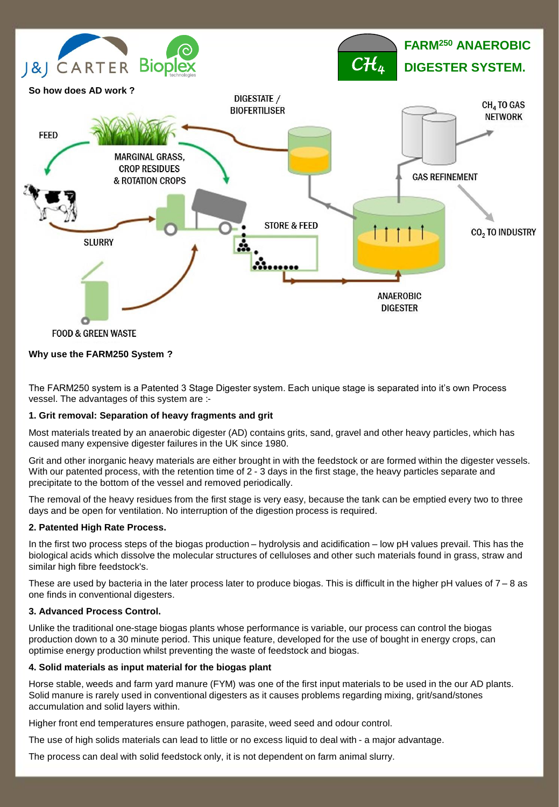

#### **Why use the FARM250 System ?**

The FARM250 system is a Patented 3 Stage Digester system. Each unique stage is separated into it's own Process vessel. The advantages of this system are :-

#### **1. Grit removal: Separation of heavy fragments and grit**

Most materials treated by an anaerobic digester (AD) contains grits, sand, gravel and other heavy particles, which has caused many expensive digester failures in the UK since 1980.

Grit and other inorganic heavy materials are either brought in with the feedstock or are formed within the digester vessels. With our patented process, with the retention time of 2 - 3 days in the first stage, the heavy particles separate and precipitate to the bottom of the vessel and removed periodically.

The removal of the heavy residues from the first stage is very easy, because the tank can be emptied every two to three days and be open for ventilation. No interruption of the digestion process is required.

#### **2. Patented High Rate Process.**

In the first two process steps of the biogas production – hydrolysis and acidification – low pH values prevail. This has the biological acids which dissolve the molecular structures of celluloses and other such materials found in grass, straw and similar high fibre feedstock's.

These are used by bacteria in the later process later to produce biogas. This is difficult in the higher pH values of  $7 - 8$  as one finds in conventional digesters.

#### **3. Advanced Process Control.**

Unlike the traditional one-stage biogas plants whose performance is variable, our process can control the biogas production down to a 30 minute period. This unique feature, developed for the use of bought in energy crops, can optimise energy production whilst preventing the waste of feedstock and biogas.

#### **4. Solid materials as input material for the biogas plant**

Horse stable, weeds and farm yard manure (FYM) was one of the first input materials to be used in the our AD plants. Solid manure is rarely used in conventional digesters as it causes problems regarding mixing, grit/sand/stones accumulation and solid layers within.

Higher front end temperatures ensure pathogen, parasite, weed seed and odour control.

The use of high solids materials can lead to little or no excess liquid to deal with - a major advantage.

The process can deal with solid feedstock only, it is not dependent on farm animal slurry.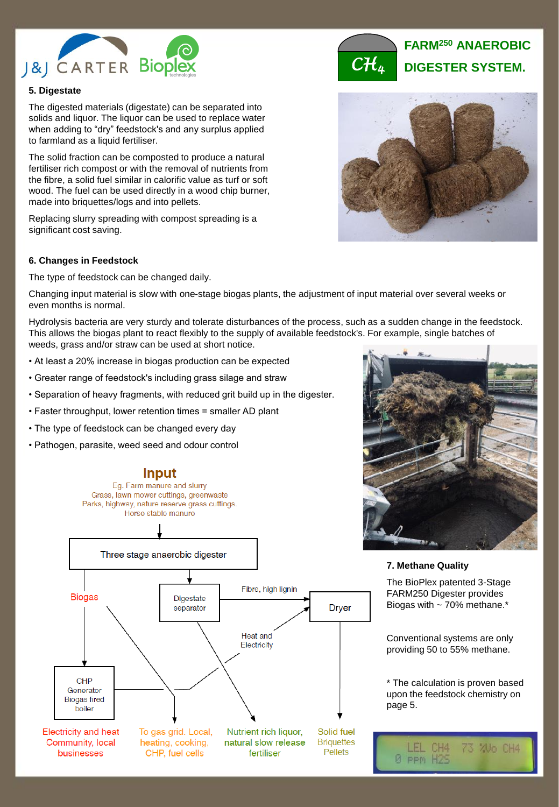

## **5. Digestate**

The digested materials (digestate) can be separated into solids and liquor. The liquor can be used to replace water when adding to "dry" feedstock's and any surplus applied to farmland as a liquid fertiliser.

The solid fraction can be composted to produce a natural fertiliser rich compost or with the removal of nutrients from the fibre, a solid fuel similar in calorific value as turf or soft wood. The fuel can be used directly in a wood chip burner, made into briquettes/logs and into pellets.

Replacing slurry spreading with compost spreading is a significant cost saving.

#### **6. Changes in Feedstock**

The type of feedstock can be changed daily.

Changing input material is slow with one-stage biogas plants, the adjustment of input material over several weeks or even months is normal.

Hydrolysis bacteria are very sturdy and tolerate disturbances of the process, such as a sudden change in the feedstock. This allows the biogas plant to react flexibly to the supply of available feedstock's. For example, single batches of weeds, grass and/or straw can be used at short notice.

- At least a 20% increase in biogas production can be expected
- Greater range of feedstock's including grass silage and straw
- Separation of heavy fragments, with reduced grit build up in the digester.
- Faster throughput, lower retention times = smaller AD plant

**Input** 

- The type of feedstock can be changed every day
- Pathogen, parasite, weed seed and odour control





**7. Methane Quality**

The BioPlex patented 3-Stage FARM250 Digester provides Biogas with  $\sim$  70% methane. $*$ 

Conventional systems are only providing 50 to 55% methane.

\* The calculation is proven based upon the feedstock chemistry on page 5.

73 200 CH4

 $CH4$ 

0 PPM H29



**FARM<sup>250</sup> ANAEROBIC** *CH<sup>4</sup>* **DIGESTER SYSTEM.**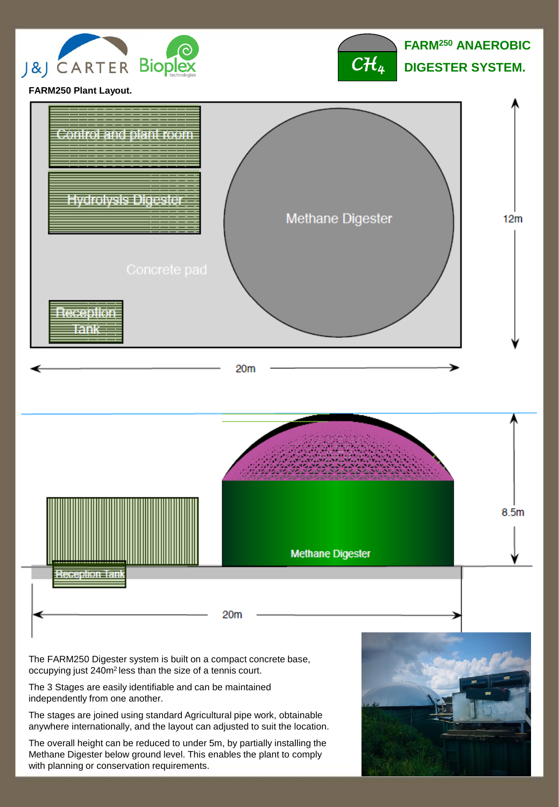



**FARM250 Plant Layout.**



The FARM250 Digester system is built on a compact concrete base, occupying just 240m<sup>2</sup>less than the size of a tennis court.

The 3 Stages are easily identifiable and can be maintained independently from one another.

The stages are joined using standard Agricultural pipe work, obtainable anywhere internationally, and the layout can adjusted to suit the location.

The overall height can be reduced to under 5m, by partially installing the Methane Digester below ground level. This enables the plant to comply with planning or conservation requirements.

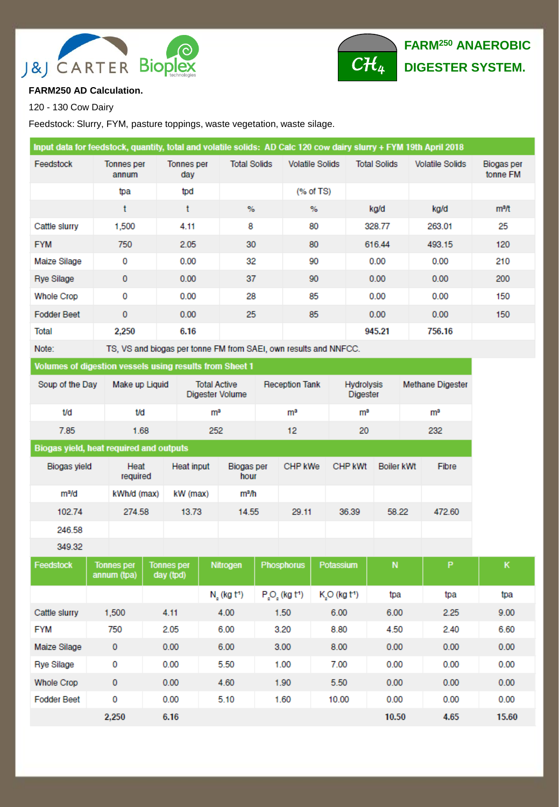



## **FARM250 AD Calculation.**

120 - 130 Cow Dairy

Feedstock: Slurry, FYM, pasture toppings, waste vegetation, waste silage.

| Input data for feedstock, quantity, total and volatile solids: AD Calc 120 cow dairy slurry + FYM 19th April 2018 |                            |                   |                     |                        |                     |                        |                        |  |  |
|-------------------------------------------------------------------------------------------------------------------|----------------------------|-------------------|---------------------|------------------------|---------------------|------------------------|------------------------|--|--|
| Feedstock                                                                                                         | <b>Tonnes</b> per<br>annum | Tonnes per<br>day | <b>Total Solids</b> | <b>Volatile Solids</b> | <b>Total Solids</b> | <b>Volatile Solids</b> | Biogas per<br>tonne FM |  |  |
|                                                                                                                   | tpa                        | tpd               |                     | $(%$ of TS)            |                     |                        |                        |  |  |
|                                                                                                                   | t                          | t                 | %                   | %                      | kg/d                | kg/d                   | m <sup>3</sup> /t      |  |  |
| Cattle slurry                                                                                                     | 1,500                      | 4.11              | 8                   | 80                     | 328.77              | 263.01                 | 25                     |  |  |
| <b>FYM</b>                                                                                                        | 750                        | 2.05              | 30                  | 80                     | 616.44              | 493.15                 | 120                    |  |  |
| Maize Silage                                                                                                      | 0                          | 0.00              | 32                  | 90                     | 0.00                | 0.00                   | 210                    |  |  |
| <b>Rye Silage</b>                                                                                                 | 0                          | 0.00              | 37                  | 90                     | 0.00                | 0.00                   | 200                    |  |  |
| Whole Crop                                                                                                        | 0                          | 0.00              | 28                  | 85                     | 0.00                | 0.00                   | 150                    |  |  |
| <b>Fodder Beet</b>                                                                                                | $\mathbf 0$                | 0.00              | 25                  | 85                     | 0.00                | 0.00                   | 150                    |  |  |
| Total                                                                                                             | 2,250                      | 6.16              |                     |                        | 945.21              | 756.16                 |                        |  |  |
|                                                                                                                   |                            |                   |                     |                        |                     |                        |                        |  |  |

Note: TS, VS and biogas per tonne FM from SAEI, own results and NNFCC.

## Volumes of digestion vessels using results from Sheet 1

| Soup of the Day | Make up Liquid | <b>Total Active</b><br>Digester Volume | <b>Reception Tank</b> | <b>Hydrolysis</b><br><b>Digester</b> | Methane Digester |
|-----------------|----------------|----------------------------------------|-----------------------|--------------------------------------|------------------|
| t/d             | t/d            | m <sup>3</sup>                         | mª                    | m <sup>3</sup>                       | mª               |
| 7.85            | 1.68           | 252                                    | 12                    | 20                                   | 232              |

## Biogas yield, heat required and outputs

| Biogas yield      | Heat<br>required | <b>Heat input</b> | Biogas per<br>hour | CHP kWe | <b>CHP kWt</b> | Boiler kWt | Fibre  |
|-------------------|------------------|-------------------|--------------------|---------|----------------|------------|--------|
| m <sup>3</sup> /d | kWh/d (max)      | kW (max)          | mª/h               |         |                |            |        |
| 102.74            | 274.58           | 13.73             | 14.55              | 29.11   | 36.39          | 58.22      | 472.60 |
| 246.58            |                  |                   |                    |         |                |            |        |
| 349.32            |                  |                   |                    |         |                |            |        |

| Feedstock          | <b>Tonnes per</b><br>annum (tpa) | <b>Tonnes per</b><br>day (tpd) | <b>Nitrogen</b>         | <b>Phosphorus</b>                 | Potassium        | ${\sf N}$ | P    | к     |
|--------------------|----------------------------------|--------------------------------|-------------------------|-----------------------------------|------------------|-----------|------|-------|
|                    |                                  |                                | N, (kg t <sup>1</sup> ) | $P_{s}O_{s}$ (kg t <sup>1</sup> ) | $KsO$ (kg $t1$ ) | tpa       | tpa  | tpa   |
| Cattle slurry      | 1,500                            | 4.11                           | 4.00                    | 1.50                              | 6.00             | 6.00      | 2.25 | 9.00  |
| <b>FYM</b>         | 750                              | 2.05                           | 6.00                    | 3.20                              | 8.80             | 4.50      | 2.40 | 6.60  |
| Maize Silage       | 0                                | 0.00                           | 6.00                    | 3.00                              | 8.00             | 0.00      | 0.00 | 0.00  |
| <b>Rye Silage</b>  | 0                                | 0.00                           | 5.50                    | 1.00                              | 7.00             | 0.00      | 0.00 | 0.00  |
| <b>Whole Crop</b>  | 0                                | 0.00                           | 4.60                    | 1.90                              | 5.50             | 0.00      | 0.00 | 0.00  |
| <b>Fodder Beet</b> | 0                                | 0.00                           | 5.10                    | 1.60                              | 10.00            | 0.00      | 0.00 | 0.00  |
|                    | 2.250                            | 6.16                           |                         |                                   |                  | 10.50     | 4.65 | 15.60 |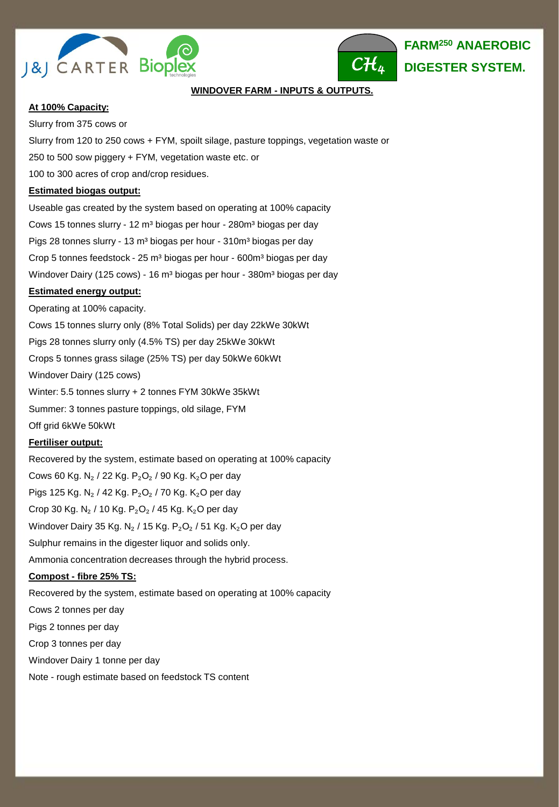



## **WINDOVER FARM - INPUTS & OUTPUTS.**

#### **At 100% Capacity:**

Slurry from 375 cows or Slurry from 120 to 250 cows + FYM, spoilt silage, pasture toppings, vegetation waste or 250 to 500 sow piggery + FYM, vegetation waste etc. or 100 to 300 acres of crop and/crop residues. **Estimated biogas output:** Useable gas created by the system based on operating at 100% capacity Cows 15 tonnes slurry - 12 m<sup>3</sup> biogas per hour - 280m<sup>3</sup> biogas per day Pigs 28 tonnes slurry - 13 m<sup>3</sup> biogas per hour - 310m<sup>3</sup> biogas per day Crop 5 tonnes feedstock - 25 m<sup>3</sup> biogas per hour - 600m<sup>3</sup> biogas per day Windover Dairy (125 cows) - 16 m<sup>3</sup> biogas per hour - 380m<sup>3</sup> biogas per day

#### **Estimated energy output:**

Operating at 100% capacity. Cows 15 tonnes slurry only (8% Total Solids) per day 22kWe 30kWt Pigs 28 tonnes slurry only (4.5% TS) per day 25kWe 30kWt Crops 5 tonnes grass silage (25% TS) per day 50kWe 60kWt Windover Dairy (125 cows) Winter: 5.5 tonnes slurry + 2 tonnes FYM 30kWe 35kWt Summer: 3 tonnes pasture toppings, old silage, FYM Off grid 6kWe 50kWt **Fertiliser output:**

Recovered by the system, estimate based on operating at 100% capacity Cows 60 Kg. N<sub>2</sub> / 22 Kg. P<sub>2</sub>O<sub>2</sub> / 90 Kg. K<sub>2</sub>O per day Pigs 125 Kg. N<sub>2</sub> / 42 Kg. P<sub>2</sub>O<sub>2</sub> / 70 Kg. K<sub>2</sub>O per day Crop 30 Kg. N<sub>2</sub> / 10 Kg. P<sub>2</sub>O<sub>2</sub> / 45 Kg. K<sub>2</sub>O per day Windover Dairy 35 Kg. N<sub>2</sub> / 15 Kg. P<sub>2</sub>O<sub>2</sub> / 51 Kg. K<sub>2</sub>O per day Sulphur remains in the digester liquor and solids only. Ammonia concentration decreases through the hybrid process.

## **Compost - fibre 25% TS:**

Recovered by the system, estimate based on operating at 100% capacity Cows 2 tonnes per day Pigs 2 tonnes per day Crop 3 tonnes per day Windover Dairy 1 tonne per day Note - rough estimate based on feedstock TS content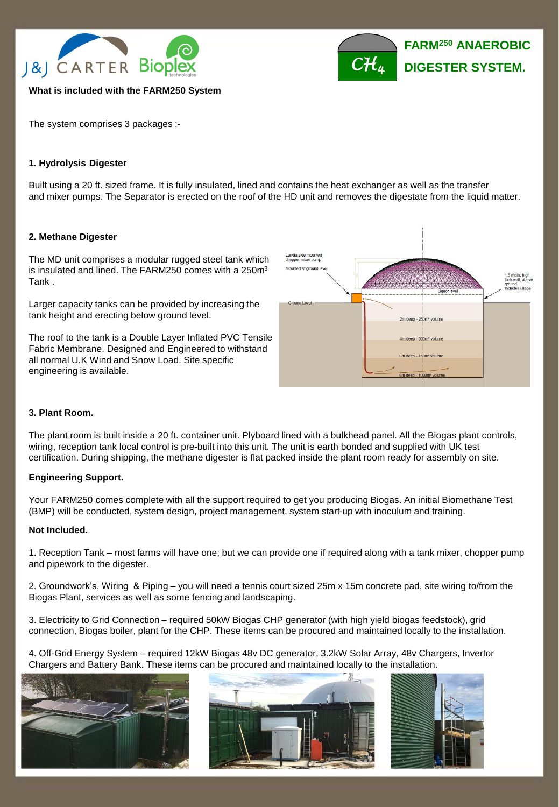



#### **What is included with the FARM250 System**

The system comprises 3 packages :-

## **1. Hydrolysis Digester**

Built using a 20 ft. sized frame. It is fully insulated, lined and contains the heat exchanger as well as the transfer and mixer pumps. The Separator is erected on the roof of the HD unit and removes the digestate from the liquid matter.

#### **2. Methane Digester**

The MD unit comprises a modular rugged steel tank which is insulated and lined. The FARM250 comes with a 250m<sup>3</sup> Tank .

Larger capacity tanks can be provided by increasing the tank height and erecting below ground level.

The roof to the tank is a Double Layer Inflated PVC Tensile Fabric Membrane. Designed and Engineered to withstand all normal U.K Wind and Snow Load. Site specific engineering is available.



## **3. Plant Room.**

The plant room is built inside a 20 ft. container unit. Plyboard lined with a bulkhead panel. All the Biogas plant controls, wiring, reception tank local control is pre-built into this unit. The unit is earth bonded and supplied with UK test certification. During shipping, the methane digester is flat packed inside the plant room ready for assembly on site.

#### **Engineering Support.**

Your FARM250 comes complete with all the support required to get you producing Biogas. An initial Biomethane Test (BMP) will be conducted, system design, project management, system start-up with inoculum and training.

#### **Not Included.**

1. Reception Tank – most farms will have one; but we can provide one if required along with a tank mixer, chopper pump and pipework to the digester.

2. Groundwork's, Wiring & Piping – you will need a tennis court sized 25m x 15m concrete pad, site wiring to/from the Biogas Plant, services as well as some fencing and landscaping.

3. Electricity to Grid Connection – required 50kW Biogas CHP generator (with high yield biogas feedstock), grid connection, Biogas boiler, plant for the CHP. These items can be procured and maintained locally to the installation.

4. Off-Grid Energy System – required 12kW Biogas 48v DC generator, 3.2kW Solar Array, 48v Chargers, Invertor Chargers and Battery Bank. These items can be procured and maintained locally to the installation.